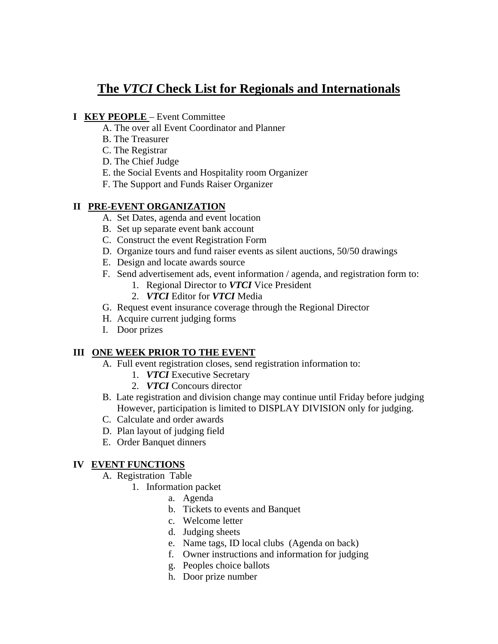# **The** *VTCI* **Check List for Regionals and Internationals**

# **I KEY PEOPLE** – Event Committee

- A. The over all Event Coordinator and Planner
- B. The Treasurer
- C. The Registrar
- D. The Chief Judge
- E. the Social Events and Hospitality room Organizer
- F. The Support and Funds Raiser Organizer

#### **II PRE-EVENT ORGANIZATION**

- A. Set Dates, agenda and event location
- B. Set up separate event bank account
- C. Construct the event Registration Form
- D. Organize tours and fund raiser events as silent auctions, 50/50 drawings
- E. Design and locate awards source
- F. Send advertisement ads, event information / agenda, and registration form to:
	- 1. Regional Director to *VTCI* Vice President
	- 2. *VTCI* Editor for *VTCI* Media
- G. Request event insurance coverage through the Regional Director
- H. Acquire current judging forms
- I. Door prizes

# **III ONE WEEK PRIOR TO THE EVENT**

- A. Full event registration closes, send registration information to:
	- 1. *VTCI* Executive Secretary
	- 2. *VTCI* Concours director
- B. Late registration and division change may continue until Friday before judging However, participation is limited to DISPLAY DIVISION only for judging.
- C. Calculate and order awards
- D. Plan layout of judging field
- E. Order Banquet dinners

# **IV EVENT FUNCTIONS**

- A. Registration Table
	- 1. Information packet
		- a. Agenda
		- b. Tickets to events and Banquet
		- c. Welcome letter
		- d. Judging sheets
		- e. Name tags, ID local clubs (Agenda on back)
		- f. Owner instructions and information for judging
		- g. Peoples choice ballots
		- h. Door prize number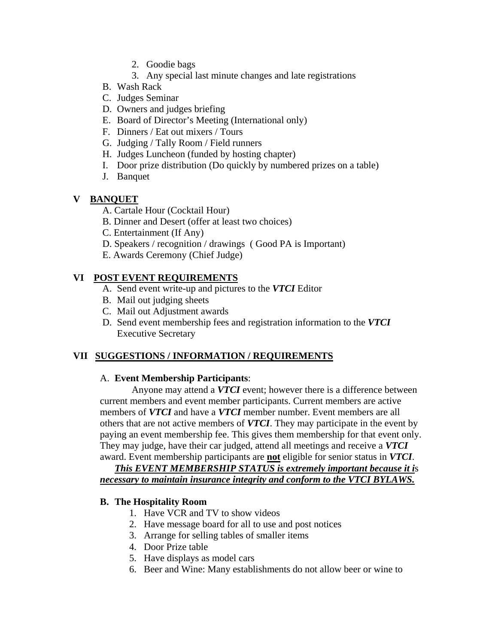- 2. Goodie bags
- 3. Any special last minute changes and late registrations
- B. Wash Rack
- C. Judges Seminar
- D. Owners and judges briefing
- E. Board of Director's Meeting (International only)
- F. Dinners / Eat out mixers / Tours
- G. Judging / Tally Room / Field runners
- H. Judges Luncheon (funded by hosting chapter)
- I. Door prize distribution (Do quickly by numbered prizes on a table)
- J. Banquet

# **V BANQUET**

- A. Cartale Hour (Cocktail Hour)
- B. Dinner and Desert (offer at least two choices)
- C. Entertainment (If Any)
- D. Speakers / recognition / drawings ( Good PA is Important)
- E. Awards Ceremony (Chief Judge)

# **VI POST EVENT REQUIREMENTS**

- A. Send event write-up and pictures to the *VTCI* Editor
- B. Mail out judging sheets
- C. Mail out Adjustment awards
- D. Send event membership fees and registration information to the *VTCI* Executive Secretary

# **VII SUGGESTIONS / INFORMATION / REQUIREMENTS**

#### A. **Event Membership Participants**:

 Anyone may attend a *VTCI* event; however there is a difference between current members and event member participants. Current members are active members of *VTCI* and have a *VTCI* member number. Event members are all others that are not active members of *VTCI*. They may participate in the event by paying an event membership fee. This gives them membership for that event only. They may judge, have their car judged, attend all meetings and receive a *VTCI* award. Event membership participants are **not** eligible for senior status in *VTCI*.

*This EVENT MEMBERSHIP STATUS is extremely important because it i*s *necessary to maintain insurance integrity and conform to the VTCI BYLAWS.*

#### **B. The Hospitality Room**

- 1. Have VCR and TV to show videos
- 2. Have message board for all to use and post notices
- 3. Arrange for selling tables of smaller items
- 4. Door Prize table
- 5. Have displays as model cars
- 6. Beer and Wine: Many establishments do not allow beer or wine to